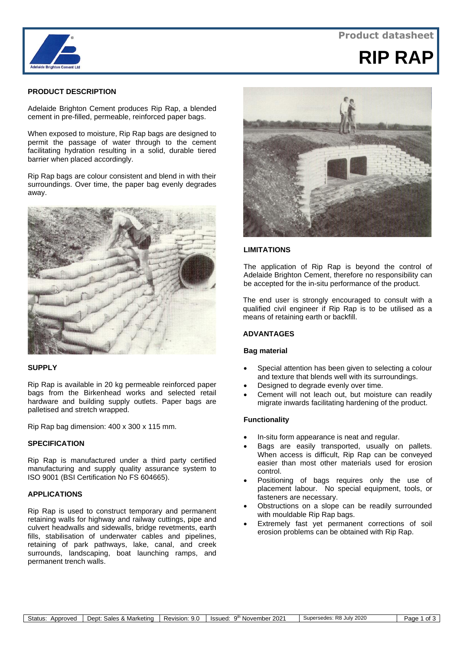

## **Product datasheet**



## **PRODUCT DESCRIPTION**

Adelaide Brighton Cement produces Rip Rap, a blended cement in pre-filled, permeable, reinforced paper bags.

When exposed to moisture, Rip Rap bags are designed to permit the passage of water through to the cement facilitating hydration resulting in a solid, durable tiered barrier when placed accordingly.

Rip Rap bags are colour consistent and blend in with their surroundings. Over time, the paper bag evenly degrades away.



## **SUPPLY**

Rip Rap is available in 20 kg permeable reinforced paper bags from the Birkenhead works and selected retail hardware and building supply outlets. Paper bags are palletised and stretch wrapped.

Rip Rap bag dimension: 400 x 300 x 115 mm.

#### **SPECIFICATION**

Rip Rap is manufactured under a third party certified manufacturing and supply quality assurance system to ISO 9001 (BSI Certification No FS 604665).

#### **APPLICATIONS**

Rip Rap is used to construct temporary and permanent retaining walls for highway and railway cuttings, pipe and culvert headwalls and sidewalls, bridge revetments, earth fills, stabilisation of underwater cables and pipelines, retaining of park pathways, lake, canal, and creek surrounds, landscaping, boat launching ramps, and permanent trench walls.



## **LIMITATIONS**

The application of Rip Rap is beyond the control of Adelaide Brighton Cement, therefore no responsibility can be accepted for the in-situ performance of the product.

The end user is strongly encouraged to consult with a qualified civil engineer if Rip Rap is to be utilised as a means of retaining earth or backfill.

## **ADVANTAGES**

## **Bag material**

- Special attention has been given to selecting a colour and texture that blends well with its surroundings.
- Designed to degrade evenly over time.
- Cement will not leach out, but moisture can readily migrate inwards facilitating hardening of the product.

#### **Functionality**

- In-situ form appearance is neat and regular.
- Bags are easily transported, usually on pallets. When access is difficult, Rip Rap can be conveyed easier than most other materials used for erosion control.
- Positioning of bags requires only the use of placement labour. No special equipment, tools, or fasteners are necessary.
- Obstructions on a slope can be readily surrounded with mouldable Rip Rap bags.
- Extremely fast yet permanent corrections of soil erosion problems can be obtained with Rip Rap.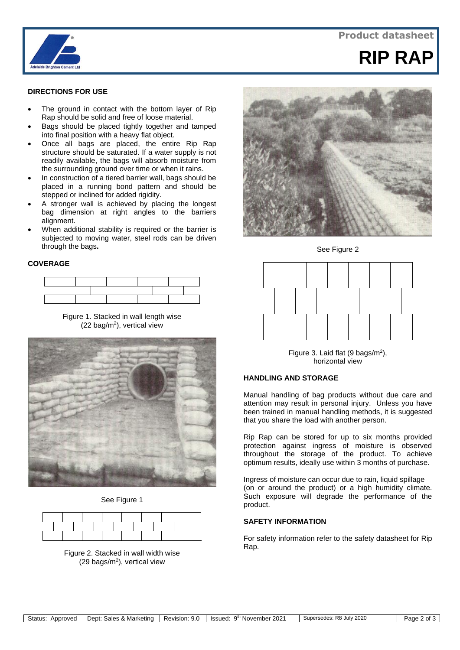



# **RIP RAP**

## **DIRECTIONS FOR USE**

- The ground in contact with the bottom layer of Rip Rap should be solid and free of loose material.
- Bags should be placed tightly together and tamped into final position with a heavy flat object.
- Once all bags are placed, the entire Rip Rap structure should be saturated. If a water supply is not readily available, the bags will absorb moisture from the surrounding ground over time or when it rains.
- In construction of a tiered barrier wall, bags should be placed in a running bond pattern and should be stepped or inclined for added rigidity.
- A stronger wall is achieved by placing the longest bag dimension at right angles to the barriers alignment.
- When additional stability is required or the barrier is subjected to moving water, steel rods can be driven through the bags**.**

#### **COVERAGE**



Figure 1. Stacked in wall length wise (22 bag/m<sup>2</sup>), vertical view



See Figure 1





See Figure 2



horizontal view Figure 3. Laid flat  $(9 \text{ bags/m}^2)$ ,

## **HANDLING AND STORAGE**

Manual handling of bag products without due care and attention may result in personal injury. Unless you have been trained in manual handling methods, it is suggested that you share the load with another person.

Rip Rap can be stored for up to six months provided protection against ingress of moisture is observed throughout the storage of the product. To achieve optimum results, ideally use within 3 months of purchase.

Ingress of moisture can occur due to rain, liquid spillage (on or around the product) or a high humidity climate. Such exposure will degrade the performance of the product.

## **SAFETY INFORMATION**

For safety information refer to the safety datasheet for Rip Rap.